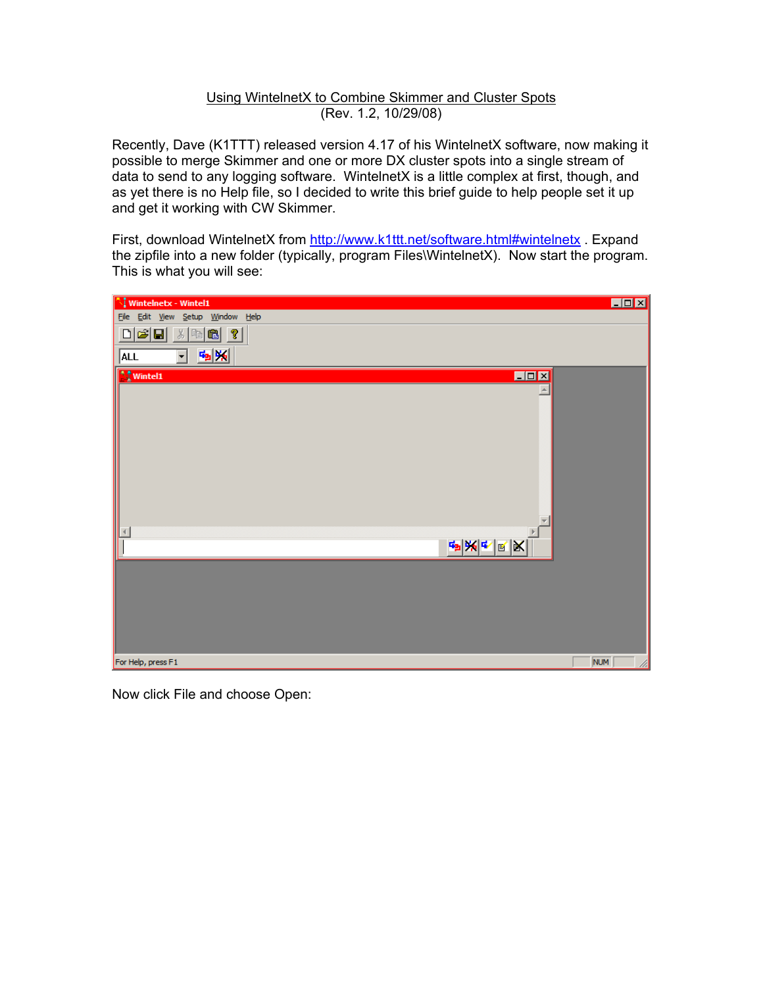## Using WintelnetX to Combine Skimmer and Cluster Spots (Rev. 1.2, 10/29/08)

Recently, Dave (K1TTT) released version 4.17 of his WintelnetX software, now making it possible to merge Skimmer and one or more DX cluster spots into a single stream of data to send to any logging software. WintelnetX is a little complex at first, though, and as yet there is no Help file, so I decided to write this brief guide to help people set it up and get it working with CW Skimmer.

First, download WintelnetX from http://www.k1ttt.net/software.html#wintelnetx . Expand the zipfile into a new folder (typically, program Files\WintelnetX). Now start the program. This is what you will see:



Now click File and choose Open: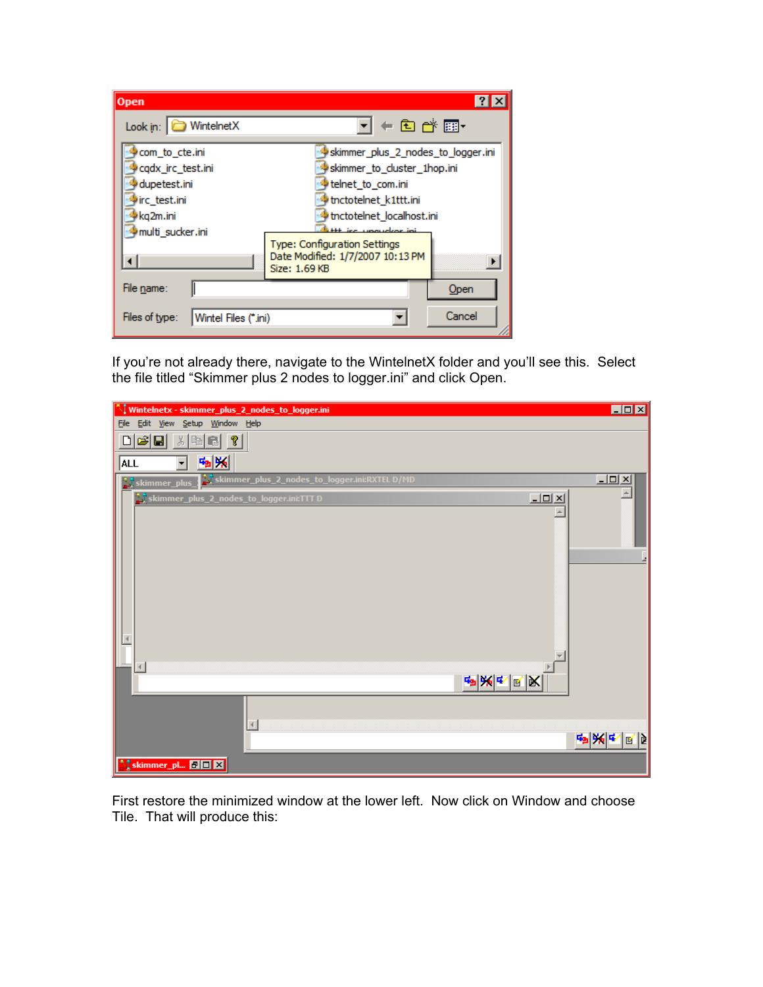| <b>Open</b>                            |                                                                                          | $?$ $\times$ |
|----------------------------------------|------------------------------------------------------------------------------------------|--------------|
| Look in: WintelnetX                    | <b>▼│←</b> 白 2 囲•                                                                        |              |
| com_to_cte.ini                         | skimmer_plus_2_nodes_to_logger.ini                                                       |              |
| cqdx_irc_test.ini                      | skimmer to cluster 1hop.ini                                                              |              |
| dupetest.ini                           | telnet_to_com.ini                                                                        |              |
| lirc test.ini                          | tnctotelnet k1ttt.ini                                                                    |              |
| kg2m.ini                               | tnctotelnet_localhost.ini                                                                |              |
| multi_sucker.ini                       | <b>Http://www.dooglesia.com/</b>                                                         |              |
|                                        | <b>Type: Configuration Settings</b><br>Date Modified: 1/7/2007 10:13 PM<br>Size: 1.69 KB |              |
| File name:                             |                                                                                          | Open         |
| Files of type:<br>Wintel Files (*.ini) |                                                                                          | Cancel       |

If you're not already there, navigate to the WintelnetX folder and you'll see this. Select the file titled "Skimmer plus 2 nodes to logger.ini" and click Open.

| Wintelnetx - skimmer_plus_2_nodes_to_logger.ini \                                | $\blacksquare$ $\blacksquare$ |
|----------------------------------------------------------------------------------|-------------------------------|
| File Edit View Setup Window Help                                                 |                               |
| 미혜태<br>$\lambda$ b c $\gamma$                                                    |                               |
| $\mathbf{G}_{\mathbf{B}}[\mathbf{M}_{\mathbf{B}}]$<br>$\mathbf{r}$<br><b>ALL</b> |                               |
| Skimmer_plus_2_nodes_to_logger.ini:RXTEL D/MD<br>skimmer_plus_                   | $\underline{\Box\Box} \times$ |
| $\underline{\Box} \boxdot \boxtimes$<br>skimmer_plus_2_nodes_to_logger.ini:TTT D |                               |
|                                                                                  |                               |
|                                                                                  |                               |
|                                                                                  |                               |
|                                                                                  |                               |
|                                                                                  |                               |
|                                                                                  |                               |
|                                                                                  |                               |
|                                                                                  |                               |
|                                                                                  |                               |
|                                                                                  |                               |
|                                                                                  |                               |
| <u>ゃ</u> ៷⋖⋓⋉                                                                    |                               |
|                                                                                  |                               |
| $\vert \vert$                                                                    |                               |
|                                                                                  | 响频中<br>10 D                   |
|                                                                                  |                               |
| Skimmer_pl <b>EIE EI</b>                                                         |                               |

First restore the minimized window at the lower left. Now click on Window and choose Tile. That will produce this: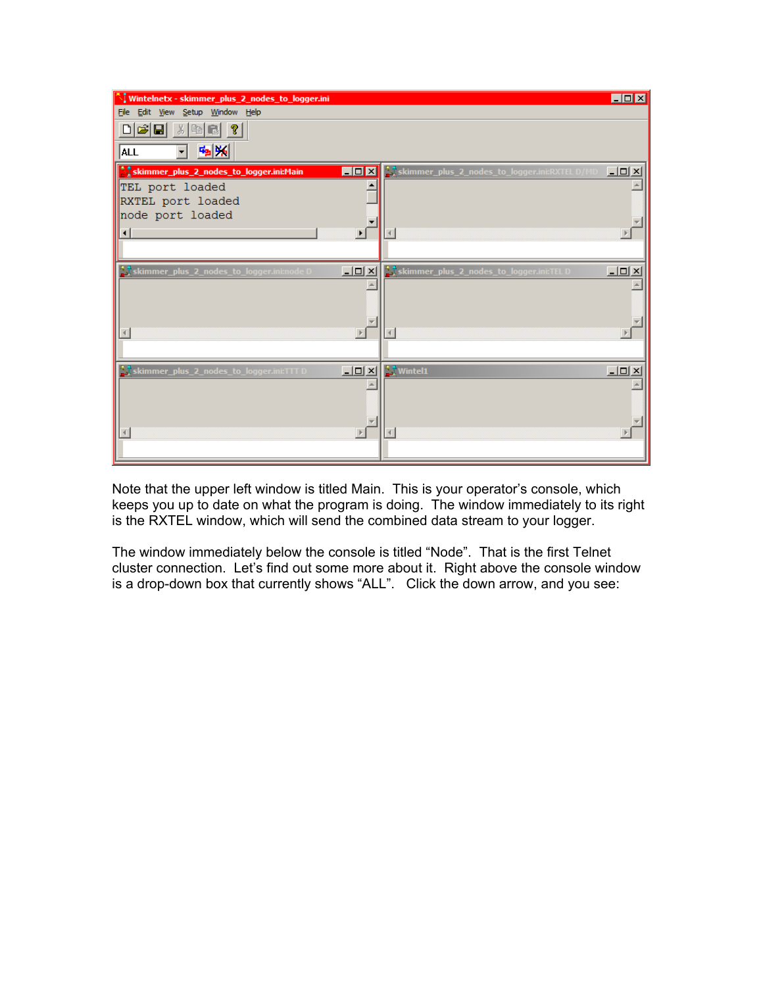| े। Wintelnetx - skimmer_plus_2_nodes_to_logger.ini |                                        |                                             | $\blacksquare$ $\blacksquare$     |
|----------------------------------------------------|----------------------------------------|---------------------------------------------|-----------------------------------|
| File Edit View Setup Window Help                   |                                        |                                             |                                   |
| $\lambda$ best ?<br>미려대                            |                                        |                                             |                                   |
| 59 %<br>ALL                                        |                                        |                                             |                                   |
| Skimmer_plus_2_nodes_to_logger.ini:Main            | $\blacksquare$ D $\blacksquare$        | Skimmer_plus_2_nodes_to_logger.ini:RXTELD/M | $\underline{\Box\Box}\times$      |
| TEL port loaded                                    |                                        |                                             |                                   |
| RXTEL port loaded                                  |                                        |                                             |                                   |
| node port loaded                                   |                                        |                                             |                                   |
|                                                    | $\overline{ }$                         |                                             |                                   |
|                                                    |                                        |                                             |                                   |
| S skimmer_plus_2_nodes_to_logger.ini:node D        | $\Box$                                 | S, skimmer_plus_2_nodes_to_logger.ini:TELD  | $\underline{\Box} \boxdot \times$ |
|                                                    |                                        |                                             |                                   |
|                                                    |                                        |                                             |                                   |
|                                                    |                                        |                                             |                                   |
|                                                    | $\ensuremath{\left \mathbf{r}\right }$ |                                             |                                   |
|                                                    |                                        |                                             |                                   |
| skimmer_plus_2_nodes_to_logger.ini:TTT D           | $\Box$                                 | V Wintel1                                   | $\underline{\Box} \boxdot \times$ |
|                                                    |                                        |                                             |                                   |
|                                                    |                                        |                                             |                                   |
|                                                    |                                        |                                             |                                   |
|                                                    | $\,$ $\,$ $\,$                         |                                             |                                   |
|                                                    |                                        |                                             |                                   |
|                                                    |                                        |                                             |                                   |

Note that the upper left window is titled Main. This is your operator's console, which keeps you up to date on what the program is doing. The window immediately to its right is the RXTEL window, which will send the combined data stream to your logger.

The window immediately below the console is titled "Node". That is the first Telnet cluster connection. Let's find out some more about it. Right above the console window is a drop-down box that currently shows "ALL". Click the down arrow, and you see: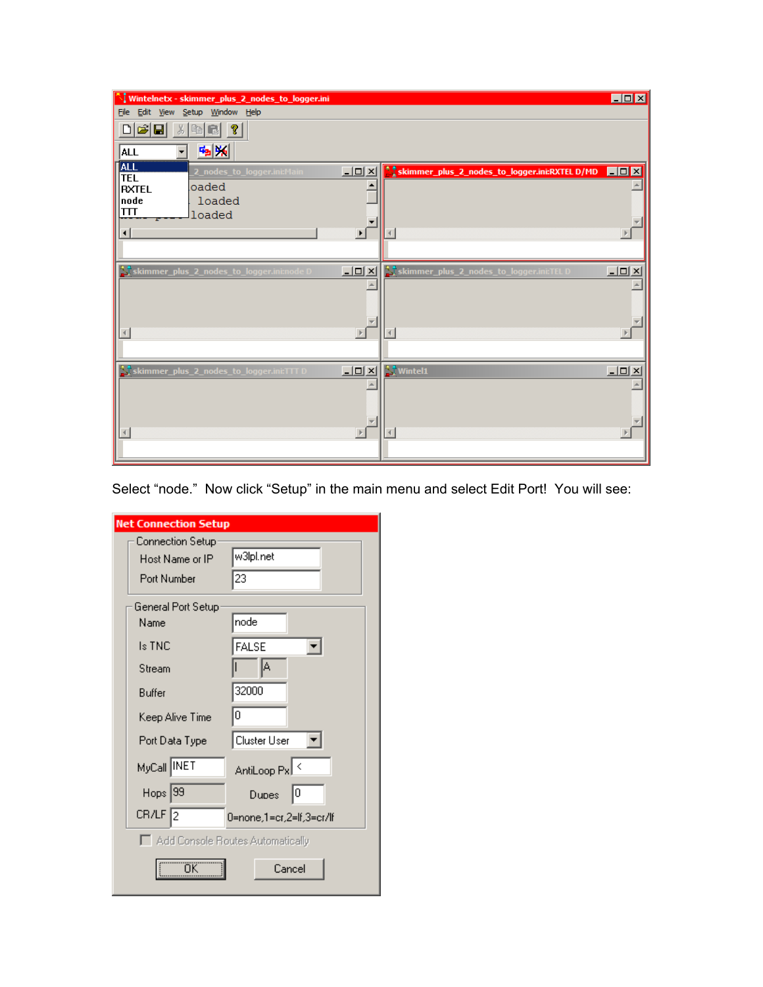| V Wintelnetx - skimmer_plus_2_nodes_to_logger.ini                                                                                   | $\Box$ D $\times$                                                                      |
|-------------------------------------------------------------------------------------------------------------------------------------|----------------------------------------------------------------------------------------|
| File Edit View Setup Window Help                                                                                                    |                                                                                        |
| $D \hat{\mathbf{z}}$ di<br>$\lambda$ (b) c) ?<br>59 %<br> ALL                                                                       |                                                                                        |
|                                                                                                                                     |                                                                                        |
| <b>ALL</b><br>TEL<br>$\underline{\Box\Box}\times$<br>2_nodes_to_logger.ini:Main<br>oaded<br><b>RXTEL</b><br>node<br>loaded<br>$\Pi$ | <u>ិរិ្ត skimmer_plus_2_nodes_to_logger.ini:RXTEL D/MD</u><br>$\Box$ o $x$             |
| loaded<br>$\blacktriangleright$<br>⊣                                                                                                |                                                                                        |
| skimmer_plus_2_nodes_to_logger.ini:node D<br>$\underline{\blacksquare}$                                                             | skimmer_plus_2_nodes_to_logger.ini:TEL D<br>$\underline{\Box} \Box \underline{\times}$ |
| $\blacktriangleright$<br>$\vert \vert$                                                                                              | $\left  \cdot \right $                                                                 |
| skimmer_plus_2_nodes_to_logger.ini:TTT D<br>$\underline{\Box}$                                                                      | $\sum$ Wintel1<br>$\underline{\Box} \Box \underline{\times}$                           |
| $\blacktriangleright$                                                                                                               | $\left  \cdot \right $                                                                 |

Select "node." Now click "Setup" in the main menu and select Edit Port! You will see:

| <b>Net Connection Setup</b>      |                          |
|----------------------------------|--------------------------|
| Connection Setup                 |                          |
| Host Name or IP                  | w3lpl.net                |
| Port Number                      | 23                       |
| General Port Setup               |                          |
| Name                             | node                     |
| Is TNC                           | <b>FALSE</b>             |
| Stream                           | A                        |
| Buffer                           | 32000                    |
| Keep Alive Time                  | 0                        |
| Port Data Type                   | Cluster User             |
| MyCall INET                      | AntiLoop Px <            |
| Hops <sup>[99]</sup>             | 10<br>Dupes              |
| CR/LF <sup>1</sup> 2             | 0=none,1=cr,2=lf,3=cr/lf |
| Add Console Routes Automatically |                          |
| ΰK                               | Cancel                   |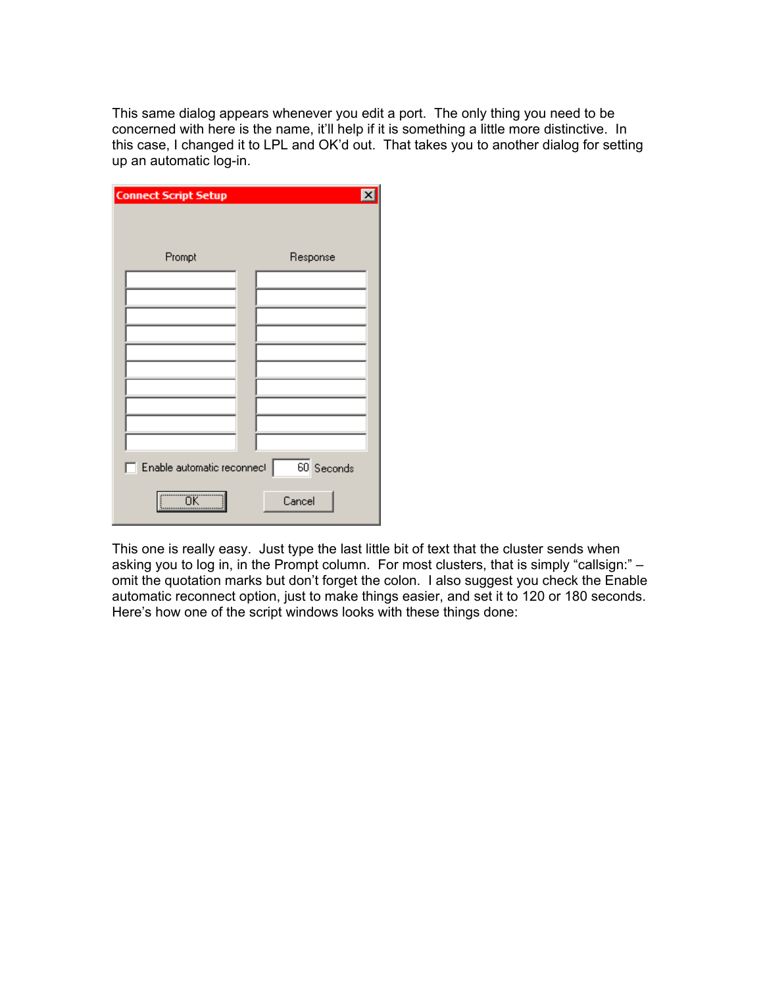This same dialog appears whenever you edit a port. The only thing you need to be concerned with here is the name, it'll help if it is something a little more distinctive. In this case, I changed it to LPL and OK'd out. That takes you to another dialog for setting up an automatic log-in.

| <b>Connect Script Setup</b> | $\overline{\mathbf{x}}$ |
|-----------------------------|-------------------------|
| Prompt                      | Response                |
|                             |                         |
|                             |                         |
|                             |                         |
| Enable automatic reconnect  | 60 Seconds              |
| ΰK                          | Cancel                  |

This one is really easy. Just type the last little bit of text that the cluster sends when asking you to log in, in the Prompt column. For most clusters, that is simply "callsign:" – omit the quotation marks but don't forget the colon. I also suggest you check the Enable automatic reconnect option, just to make things easier, and set it to 120 or 180 seconds. Here's how one of the script windows looks with these things done: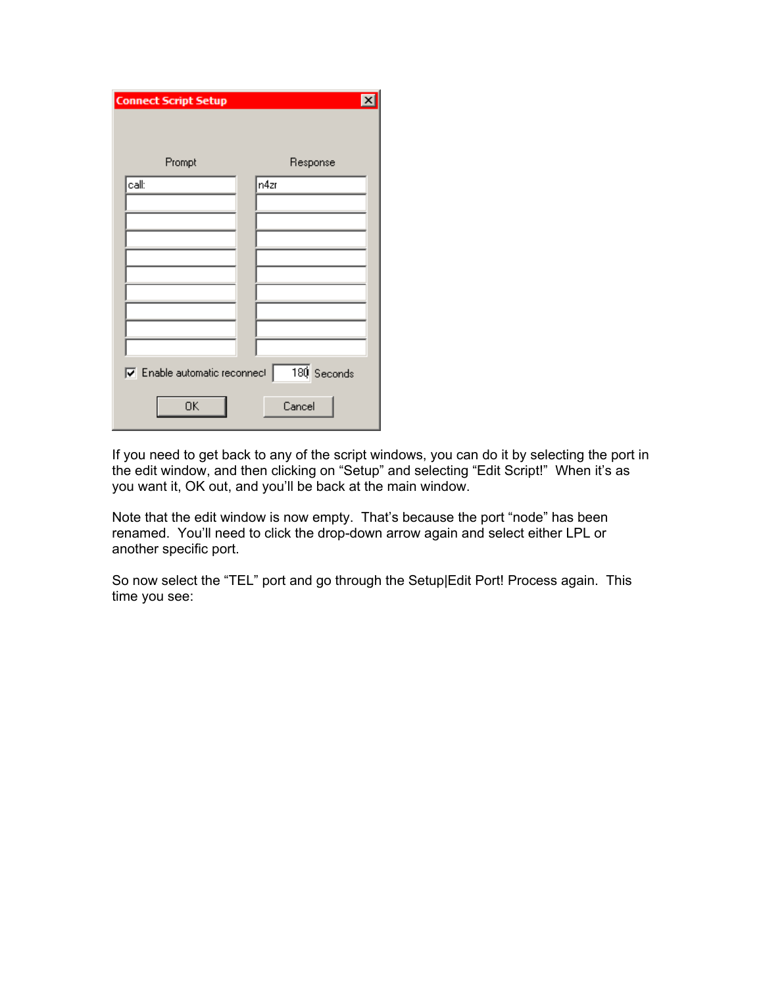| <b>Connect Script Setup</b>                | $\vert x \vert$ |
|--------------------------------------------|-----------------|
|                                            |                 |
|                                            |                 |
| Prompt                                     | Response        |
| call:                                      | n4zr            |
|                                            |                 |
|                                            |                 |
|                                            |                 |
|                                            |                 |
|                                            |                 |
|                                            |                 |
|                                            |                 |
|                                            |                 |
| $\triangledown$ Enable automatic reconnect | 180 Seconds     |
| OK                                         | Cancel          |

If you need to get back to any of the script windows, you can do it by selecting the port in the edit window, and then clicking on "Setup" and selecting "Edit Script!" When it's as you want it, OK out, and you'll be back at the main window.

Note that the edit window is now empty. That's because the port "node" has been renamed. You'll need to click the drop-down arrow again and select either LPL or another specific port.

So now select the "TEL" port and go through the Setup|Edit Port! Process again. This time you see: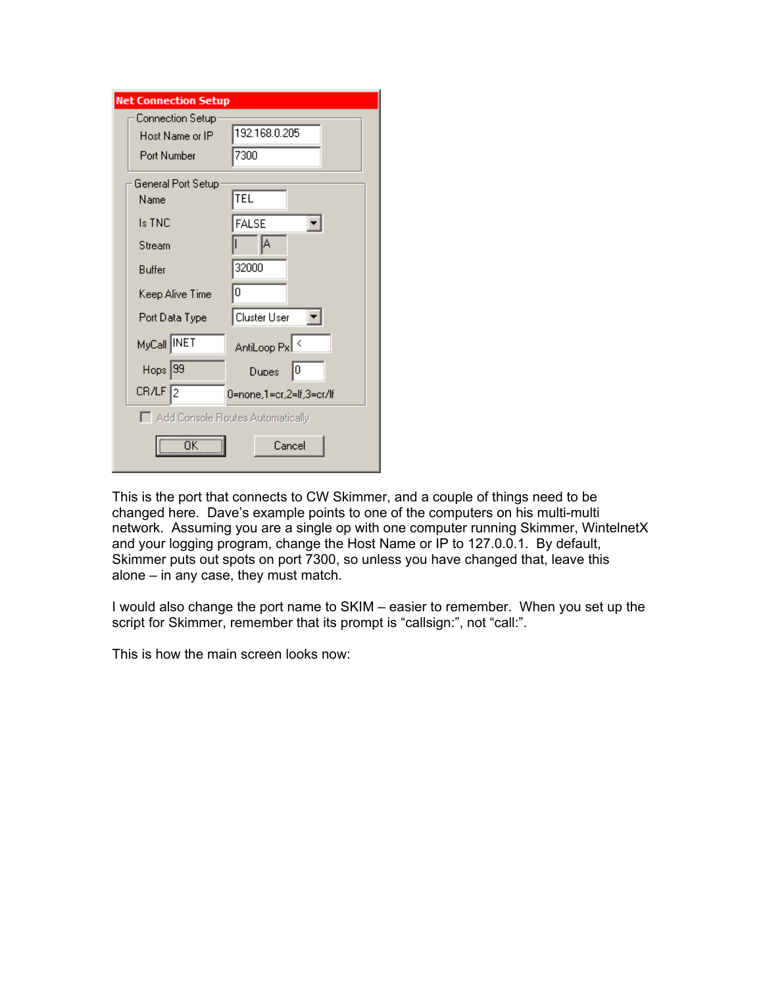| <b>Net Connection Setup</b>         |                          |
|-------------------------------------|--------------------------|
| Connection Setup<br>Host Name or IP | 192.168.0.205            |
| Port Number                         | 7300                     |
| General Port Setup:                 |                          |
| Name                                | TEL                      |
| ls TNC                              | FALSE                    |
| Stream                              | A                        |
| Buffer                              | 32000                    |
| Keep Alive Time                     | 0                        |
| Port Data Type                      | Cluster User             |
| MyCall NET                          | AntiLoop Px <            |
| $Hops$ 39                           | 10<br>Dupes              |
| $CR/LF$ 2                           | 0=none,1=cr,2=lf,3=cr/lf |
| Add Console Routes Automatically    |                          |
| OΚ                                  | Cancel                   |

This is the port that connects to CW Skimmer, and a couple of things need to be changed here. Dave's example points to one of the computers on his multi-multi network. Assuming you are a single op with one computer running Skimmer, WintelnetX and your logging program, change the Host Name or IP to 127.0.0.1. By default, Skimmer puts out spots on port 7300, so unless you have changed that, leave this alone – in any case, they must match.

I would also change the port name to SKIM – easier to remember. When you set up the script for Skimmer, remember that its prompt is "callsign:", not "call:".

This is how the main screen looks now: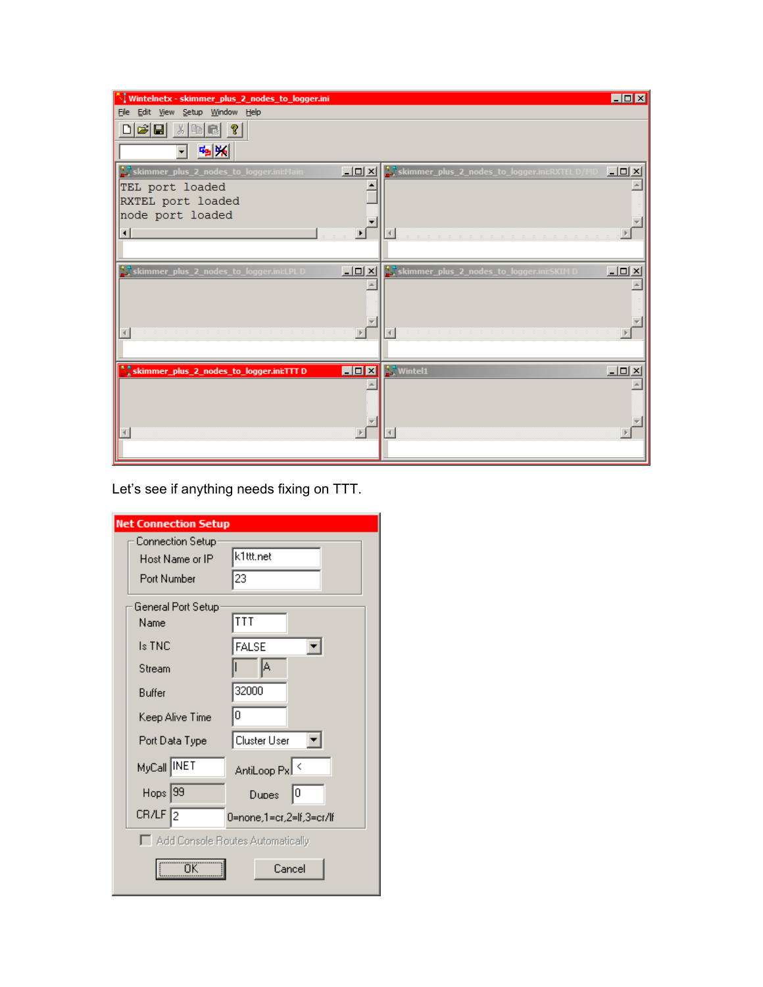| े। Wintelnetx - skimmer_plus_2_nodes_to_logger.ini                                       | $\blacksquare$ $\blacksquare$ $\times$                                            |
|------------------------------------------------------------------------------------------|-----------------------------------------------------------------------------------|
| File Edit View Setup Window Help                                                         |                                                                                   |
| $\frac{1}{2}$ in $\frac{1}{2}$<br>미려대                                                    |                                                                                   |
| 喃喃<br>$\overline{\phantom{a}}$                                                           |                                                                                   |
| skimmer_plus_2_nodes_to_logger.ini:Main<br>$\Box$ l $\Box$                               | $\Box$ ol $\times$<br>skimmer_plus_2_nodes_to_logger.ini:RXTELD/MI                |
| TEL port loaded                                                                          |                                                                                   |
| RXTEL port loaded                                                                        |                                                                                   |
| node port loaded                                                                         |                                                                                   |
| $\blacktriangleright$<br>$\left  \cdot \right $                                          |                                                                                   |
|                                                                                          |                                                                                   |
| S skimmer_plus_2_nodes_to_logger.ini:LPL D<br>$\underline{\Box} \Box \underline{\times}$ | S, skimmer_plus_2_nodes_to_logger.ini:SKIM D<br>$\underline{\Box} \boxdot \times$ |
|                                                                                          |                                                                                   |
|                                                                                          |                                                                                   |
|                                                                                          |                                                                                   |
| $\mathbb{R}$                                                                             | $\left($                                                                          |
|                                                                                          |                                                                                   |
| Stammer_plus_2_nodes_to_logger.ini:TTTD                                                  | <b>HOM</b> Mintel1<br>$\underline{\Box} \Box \underline{\times}$                  |
|                                                                                          |                                                                                   |
|                                                                                          |                                                                                   |
|                                                                                          |                                                                                   |
|                                                                                          |                                                                                   |
|                                                                                          |                                                                                   |

Let's see if anything needs fixing on TTT.

| <b>Net Connection Setup</b> |                                  |
|-----------------------------|----------------------------------|
| Connection Setup            |                                  |
| Host Name or IP             | k1ttt.net                        |
| Port Number                 | 23                               |
| General Port Setup          |                                  |
| Name                        | <b>TTT</b>                       |
| Is TNC                      | <b>FALSE</b>                     |
| Stream                      | A                                |
| Buffer                      | 32000                            |
| Keep Alive Time             | 10                               |
| Port Data Type              | Cluster User                     |
| MyCall INET                 | AntiLoop Px <                    |
| $Hops$ 39                   | 10<br>Dupes                      |
| $CR/LF$ 2                   | 0=none,1=cr,2=lf,3=cr/lf         |
|                             | Add Console Routes Automatically |
| ŐK                          | Cancel                           |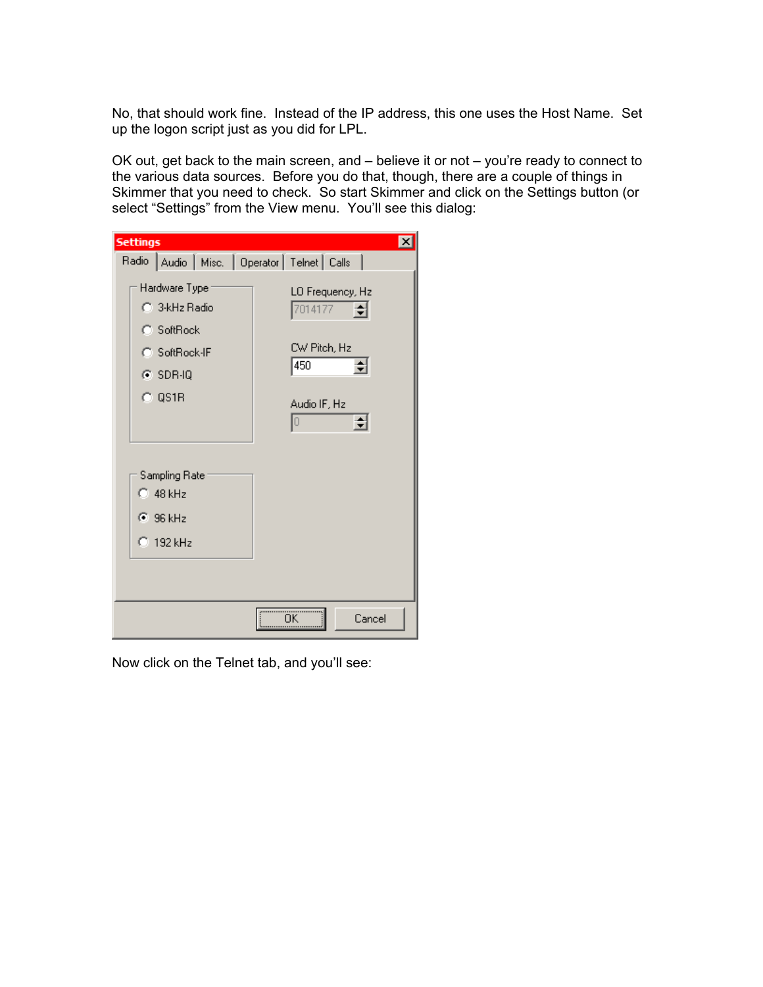No, that should work fine. Instead of the IP address, this one uses the Host Name. Set up the logon script just as you did for LPL.

OK out, get back to the main screen, and – believe it or not – you're ready to connect to the various data sources. Before you do that, though, there are a couple of things in Skimmer that you need to check. So start Skimmer and click on the Settings button (or select "Settings" from the View menu. You'll see this dialog:

| <b>Settings</b>                                                                         | $\times$                                                                                 |
|-----------------------------------------------------------------------------------------|------------------------------------------------------------------------------------------|
| Radio   Audio   Misc.   Operator   Telnet   Calls                                       |                                                                                          |
| Hardware Type<br>C 3-kHz Radio<br>C SoftRock<br>C SoftRock-IF<br>$C$ SDR-IQ<br>$C$ QS1R | LO Frequency, Hz<br>7014177<br>쉬<br>CW Pitch, Hz<br>450<br>≑∣<br>Audio IF, Hz<br>회<br>Iо |
| Sampling Rate<br>$\degree$ 48 kHz<br>$C$ 96 kHz<br>$\degree$ 192 kHz                    |                                                                                          |
|                                                                                         | öκ<br>Cancel                                                                             |

Now click on the Telnet tab, and you'll see: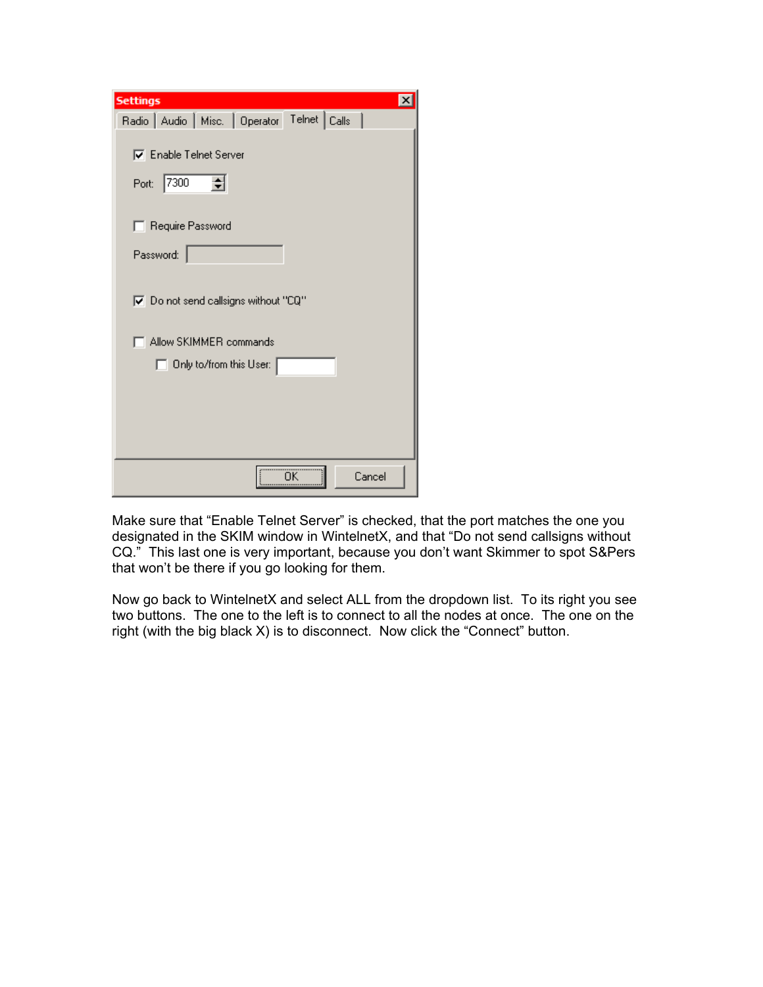| <b>Settings</b><br>$\times$                                                     |
|---------------------------------------------------------------------------------|
| Radio   Audio   Misc.   Operator Telnet   Calls                                 |
| <b>▽</b> Enable Telnet Server<br>7300<br>Port:<br>Require Password<br>Password: |
| $\blacktriangleright$ Do not send callsigns without "CQ"                        |
| Allow SKIMMER commands                                                          |
| Only to/from this User:                                                         |
|                                                                                 |
| öκ<br>Cancel                                                                    |

Make sure that "Enable Telnet Server" is checked, that the port matches the one you designated in the SKIM window in WintelnetX, and that "Do not send callsigns without CQ." This last one is very important, because you don't want Skimmer to spot S&Pers that won't be there if you go looking for them.

Now go back to WintelnetX and select ALL from the dropdown list. To its right you see two buttons. The one to the left is to connect to all the nodes at once. The one on the right (with the big black X) is to disconnect. Now click the "Connect" button.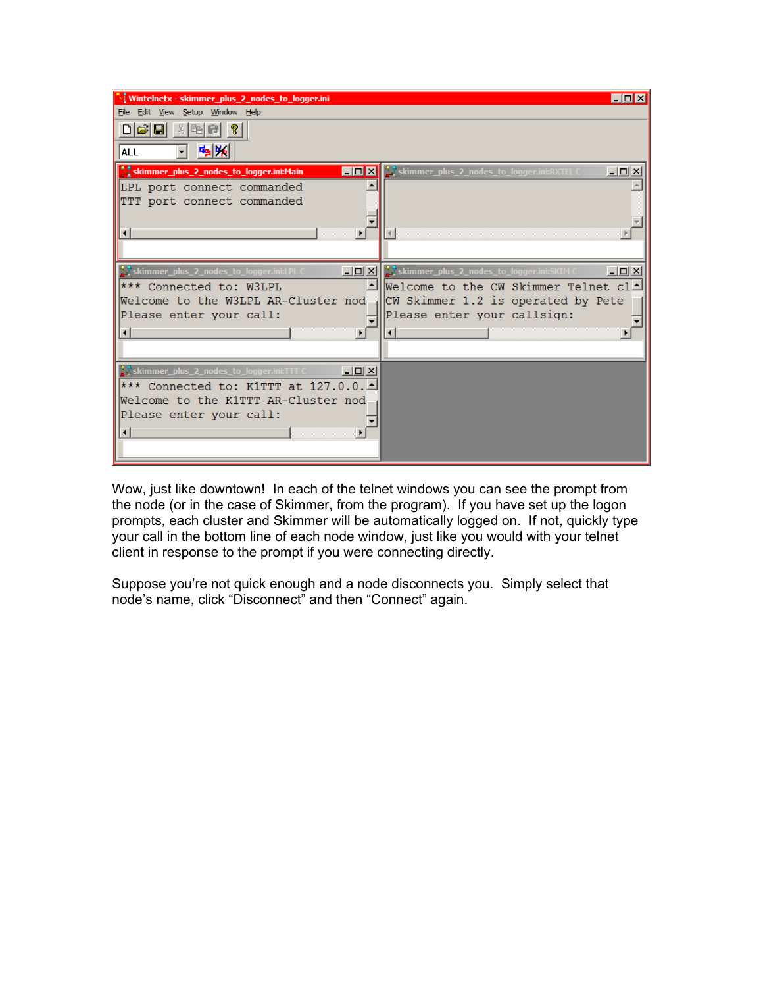| I Wintelnetx - skimmer plus 2 nodes to logger.ini                          | $\blacksquare$ $\blacksquare$ $\blacksquare$                                                                                             |
|----------------------------------------------------------------------------|------------------------------------------------------------------------------------------------------------------------------------------|
| File Edit View Setup Window Help                                           |                                                                                                                                          |
| - X   晒   B  <br>미려대                                                       |                                                                                                                                          |
| 响频<br>ALL                                                                  |                                                                                                                                          |
| Stammer_plus_2_nodes_to_logger.ini:Main<br>$\blacksquare$ D $\blacksquare$ | <u> - 미 ×</u><br>$\sum$ skimmer plus 2 nodes to logger.ini:RXTEL C                                                                       |
| LPL port connect commanded                                                 |                                                                                                                                          |
| TTT port connect commanded                                                 |                                                                                                                                          |
|                                                                            |                                                                                                                                          |
|                                                                            |                                                                                                                                          |
|                                                                            |                                                                                                                                          |
| $ \Box$ $\times$ $\vert$                                                   |                                                                                                                                          |
| S skimmer_plus_2_nodes_to_logger.ini:LPL C<br>*** Connected to: W3LPL      | S, skimmer_plus_2_nodes_to_logger.ini:SKIM C<br>$\underline{\Box} \boxtimes \underline{\times}$<br>Welcome to the CW Skimmer Telnet $cl$ |
| Welcome to the W3LPL AR-Cluster nod                                        | CW Skimmer 1.2 is operated by Pete                                                                                                       |
| Please enter your call:                                                    | Please enter your callsign:                                                                                                              |
|                                                                            |                                                                                                                                          |
| ⊣                                                                          |                                                                                                                                          |
|                                                                            |                                                                                                                                          |
| $\sum$ skimmer_plus_2_nodes_to_logger.ini:TTT C $\qquad$<br><u>니미지</u>     |                                                                                                                                          |
| *** Connected to: K1TTT at 127.0.0.1                                       |                                                                                                                                          |
| Welcome to the K1TTT AR-Cluster nod                                        |                                                                                                                                          |
| Please enter your call:                                                    |                                                                                                                                          |
| ⊣                                                                          |                                                                                                                                          |
|                                                                            |                                                                                                                                          |
|                                                                            |                                                                                                                                          |

Wow, just like downtown! In each of the telnet windows you can see the prompt from the node (or in the case of Skimmer, from the program). If you have set up the logon prompts, each cluster and Skimmer will be automatically logged on. If not, quickly type your call in the bottom line of each node window, just like you would with your telnet client in response to the prompt if you were connecting directly.

Suppose you're not quick enough and a node disconnects you. Simply select that node's name, click "Disconnect" and then "Connect" again.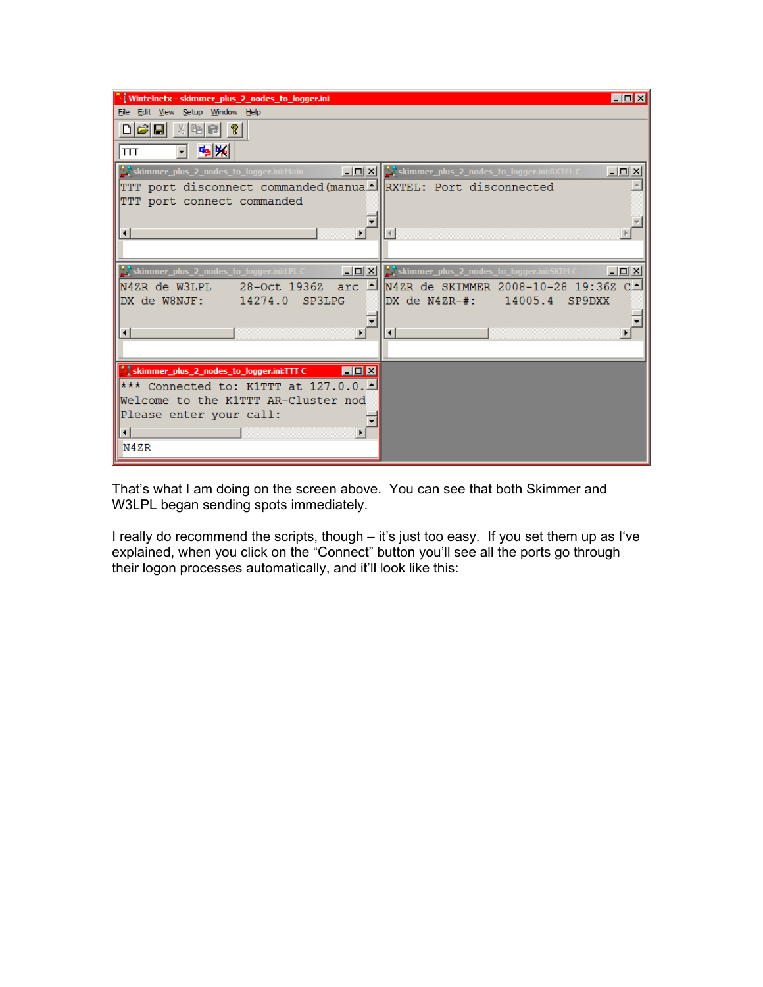| I Wintelnetx - skimmer_plus_2_nodes_to_logger.ini                                   | $\blacksquare$ $\blacksquare$                                                                  |
|-------------------------------------------------------------------------------------|------------------------------------------------------------------------------------------------|
| File Edit View Setup Window Help                                                    |                                                                                                |
| $\lambda$ be cd ?<br>미려대<br>喃喃<br>lπτ                                               |                                                                                                |
| skimmer_plus_2_nodes_to_logger.ini:Main                                             | $\boxed{\Box \Box \boxtimes}$ skimmer_plus_2_nodes_to_logger.ini:RXTEL C<br>$\Box$ ol $\times$ |
| TTT port disconnect commanded (manual RXTEL: Port disconnected                      |                                                                                                |
| TTT port connect commanded                                                          |                                                                                                |
|                                                                                     |                                                                                                |
| $\left  \cdot \right $<br>$\blacktriangleright$                                     |                                                                                                |
|                                                                                     |                                                                                                |
| $ I_{\square} $<br>$\sum$ skimmer_plus_2_nodes_to_logger.ini:LPL C                  | skimmer_plus_2_nodes_to_logger.ini:SKIM C<br>$\Box$                                            |
| N4ZR de W3LPL                                                                       | 19:362 28-Oct 1936Z arc 1⊪N4ZR de SKIMMER 2008-10-28 19:36Z C                                  |
| 14274.0<br>SP3LPG<br>DX de W8NJF:                                                   | DX de N4ZR-#: 14005.4<br>SP9DXX                                                                |
|                                                                                     |                                                                                                |
| $\left  \cdot \right $                                                              | $\left  \cdot \right $                                                                         |
|                                                                                     |                                                                                                |
| <b>A</b> skimmer_plus_2_nodes_to_logger.ini:TTT C<br>$\blacksquare\square$ $\times$ |                                                                                                |
| *** Connected to: K1TTT at 127.0.0.1                                                |                                                                                                |
| Welcome to the K1TTT AR-Cluster nod                                                 |                                                                                                |
| Please enter your call:                                                             |                                                                                                |
| ⊣∥                                                                                  |                                                                                                |
| N4ZR                                                                                |                                                                                                |

That's what I am doing on the screen above. You can see that both Skimmer and W3LPL began sending spots immediately.

I really do recommend the scripts, though – it's just too easy. If you set them up as I've explained, when you click on the "Connect" button you'll see all the ports go through their logon processes automatically, and it'll look like this: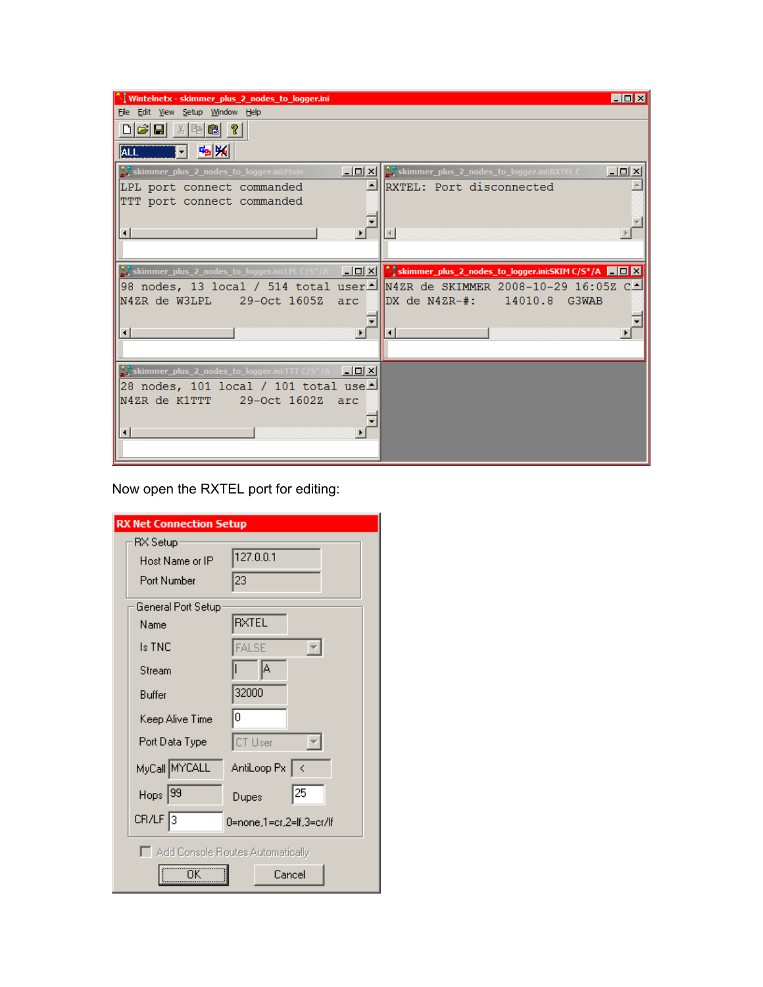| I Wintelnetx - skimmer_plus_2_nodes_to_logger.ini                         | $\Box$ $\Box$ $\times$                                                                                                        |
|---------------------------------------------------------------------------|-------------------------------------------------------------------------------------------------------------------------------|
| File Edit View Setup Window Help                                          |                                                                                                                               |
|                                                                           |                                                                                                                               |
| 喃喃<br>  ALL                                                               |                                                                                                                               |
| 그미지<br>skimmer_plus_2_nodes_to_logger.ini:Main                            | <u>니미지</u><br>skimmer_plus_2_nodes_to_logger.ini:RXTEL C                                                                      |
| LPL port connect commanded                                                | RXTEL: Port disconnected                                                                                                      |
| TTT port connect commanded                                                |                                                                                                                               |
|                                                                           |                                                                                                                               |
| $\blacktriangleright$<br>$\left  \cdot \right $                           |                                                                                                                               |
|                                                                           |                                                                                                                               |
|                                                                           | <b>Stimmer_plus_2_nodes_to_logger.ini:LPL</b> C/S*/A <b>__ _ X   Skimmer_plus_2_nodes_to_logger.ini:SKIM C/S*/A         X</b> |
|                                                                           | 98 nodes, 13 local / 514 total user MazR de SKIMMER 2008-10-29 16:05Z C                                                       |
| N4ZR de W3LPL 29-Oct 1605Z<br>arc                                         | $DX de N4ZR-$ #: 14010.8<br>G3WAB                                                                                             |
|                                                                           |                                                                                                                               |
|                                                                           |                                                                                                                               |
|                                                                           |                                                                                                                               |
| $\sum$ skimmer_plus_2_nodes_to_logger.ini:TTT C/S*/A<br>$\Box$ u $\times$ |                                                                                                                               |
| 28 nodes, 101 local / 101 total use≜                                      |                                                                                                                               |
| N4ZR de K1TTT<br>29-Oct 1602Z<br>arc                                      |                                                                                                                               |
|                                                                           |                                                                                                                               |
|                                                                           |                                                                                                                               |
|                                                                           |                                                                                                                               |
|                                                                           |                                                                                                                               |

Now open the RXTEL port for editing:

| <b>RX Net Connection Setup</b> |                     |                                    |
|--------------------------------|---------------------|------------------------------------|
|                                | RX Setup            |                                    |
|                                | Host Name or IP     | 127.0.0.1                          |
|                                | Port Number         | 23                                 |
|                                | General Port Setup  |                                    |
|                                | Name                | <b>RXTEL</b>                       |
|                                | <b>Is TNC</b>       | <b>FALSE</b>                       |
|                                | Stream              | A                                  |
|                                | Buffer              | 32000                              |
|                                | Keep Alive Time     | 0                                  |
|                                | Port Data Type      | CT User                            |
|                                | MyCall MYCALL       | AntiLoop Px   <                    |
|                                | $H_{\text{OPS}}$ 39 | 25<br>Dupes                        |
|                                | CR/LF 3             | 0=none,1=cr,2=lf,3=cr/lf           |
|                                |                     | □ Add Console Routes Automatically |
|                                | ÖK                  | Cancel                             |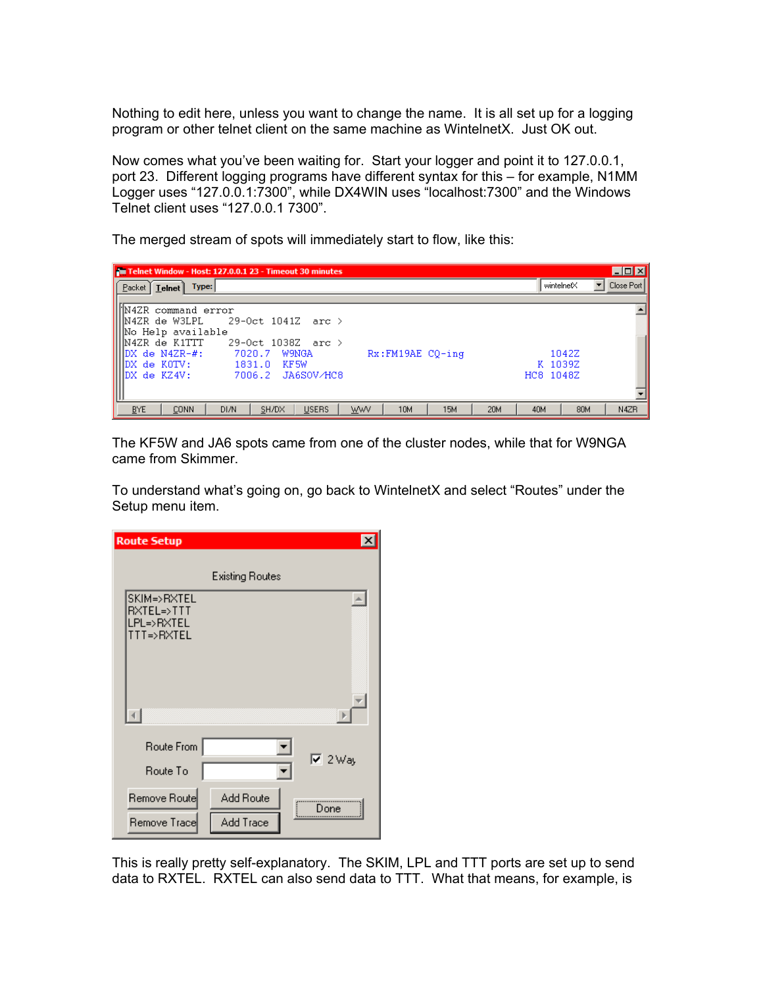Nothing to edit here, unless you want to change the name. It is all set up for a logging program or other telnet client on the same machine as WintelnetX. Just OK out.

Now comes what you've been waiting for. Start your logger and point it to 127.0.0.1, port 23. Different logging programs have different syntax for this – for example, N1MM Logger uses "127.0.0.1:7300", while DX4WIN uses "localhost:7300" and the Windows Telnet client uses "127.0.0.1 7300".

The merged stream of spots will immediately start to flow, like this:

| Telnet Window - Host: 127.0.0.1 23 - Timeout 30 minutes                                               | $\blacksquare$ $\blacksquare$ $\times$                |
|-------------------------------------------------------------------------------------------------------|-------------------------------------------------------|
| Type:<br>Facket   Telnet                                                                              | Close Port<br>wintelnetX                              |
|                                                                                                       |                                                       |
| WN4ZR command error<br>29-Oct 1041Z arc ><br>   N4ZR de W3LPL                                         |                                                       |
| No Help available                                                                                     |                                                       |
| HN4ZR de K1TTT<br>$29 - 0ct$ 1038Z arc $>$<br>IDX de N4ZR-#:<br>$Rx:FM19AE CO-ing$<br>7020.7<br>W9NGA | 1042Z                                                 |
| IDX de KOTV:<br>1831.0<br>KF 5W                                                                       | K 1039Z                                               |
| MDX de KZ4V:<br>7006.2 JA6SOV/HC8                                                                     | HC8 1048Z                                             |
|                                                                                                       |                                                       |
| <b>BYE</b><br>10M<br><b>CONN</b><br>DI/N<br><b>USERS</b><br><b>WWV</b><br>SH/DX                       | <b>20M</b><br>N4ZR<br><b>15M</b><br>40M<br><b>80M</b> |

The KF5W and JA6 spots came from one of the cluster nodes, while that for W9NGA came from Skimmer.

To understand what's going on, go back to WintelnetX and select "Routes" under the Setup menu item.

| <b>Route Setup</b>                                    |                                |
|-------------------------------------------------------|--------------------------------|
|                                                       | <b>Existing Routes</b>         |
| SKIM=>RXTEL<br>RXTEL=>TTT<br>LPL=>RXTEL<br>TTT=>RXTEL |                                |
|                                                       |                                |
| Route From                                            |                                |
| Route To                                              | $\overline{V}$ 2 Way           |
| Remove Route<br>Remove Trace                          | Add Route<br>Done<br>Add Trace |

This is really pretty self-explanatory. The SKIM, LPL and TTT ports are set up to send data to RXTEL. RXTEL can also send data to TTT. What that means, for example, is